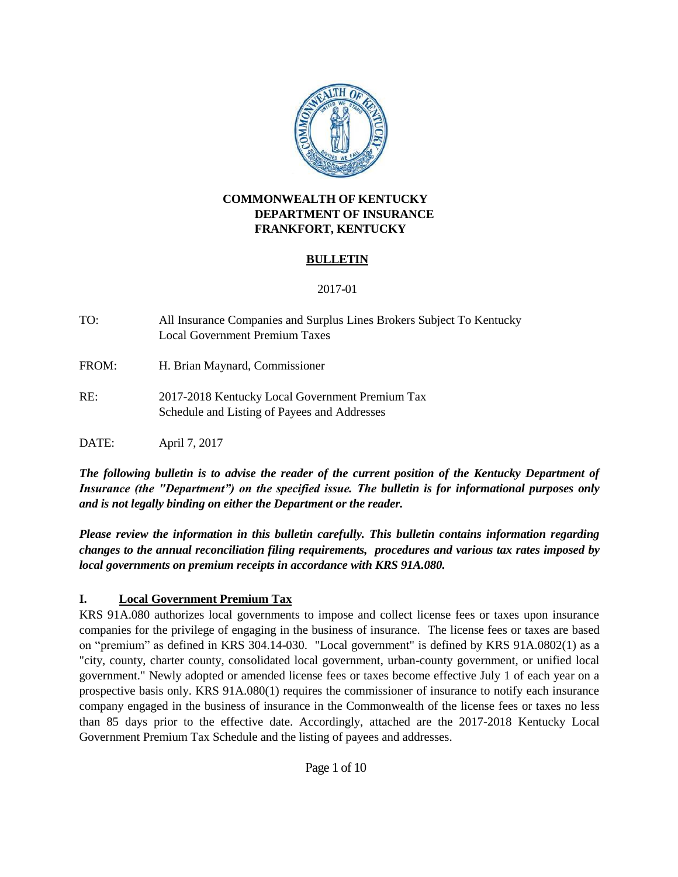

#### **COMMONWEALTH OF KENTUCKY DEPARTMENT OF INSURANCE FRANKFORT, KENTUCKY**

### **BULLETIN**

#### 2017-01

TO: All Insurance Companies and Surplus Lines Brokers Subject To Kentucky Local Government Premium Taxes

FROM: H. Brian Maynard, Commissioner

RE: 2017-2018 Kentucky Local Government Premium Tax Schedule and Listing of Payees and Addresses

DATE: April 7, 2017

*The following bulletin is to advise the reader of the current position of the Kentucky Department of Insurance (the "Department") on the specified issue. The bulletin is for informational purposes only and is not legally binding on either the Department or the reader.*

*Please review the information in this bulletin carefully. This bulletin contains information regarding changes to the annual reconciliation filing requirements, procedures and various tax rates imposed by local governments on premium receipts in accordance with KRS 91A.080.*

### **I. Local Government Premium Tax**

KRS 91A.080 authorizes local governments to impose and collect license fees or taxes upon insurance companies for the privilege of engaging in the business of insurance. The license fees or taxes are based on "premium" as defined in KRS 304.14-030. "Local government" is defined by KRS 91A.0802(1) as a "city, county, charter county, consolidated local government, urban-county government, or unified local government." Newly adopted or amended license fees or taxes become effective July 1 of each year on a prospective basis only. KRS 91A.080(1) requires the commissioner of insurance to notify each insurance company engaged in the business of insurance in the Commonwealth of the license fees or taxes no less than 85 days prior to the effective date. Accordingly, attached are the 2017-2018 Kentucky Local Government Premium Tax Schedule and the listing of payees and addresses.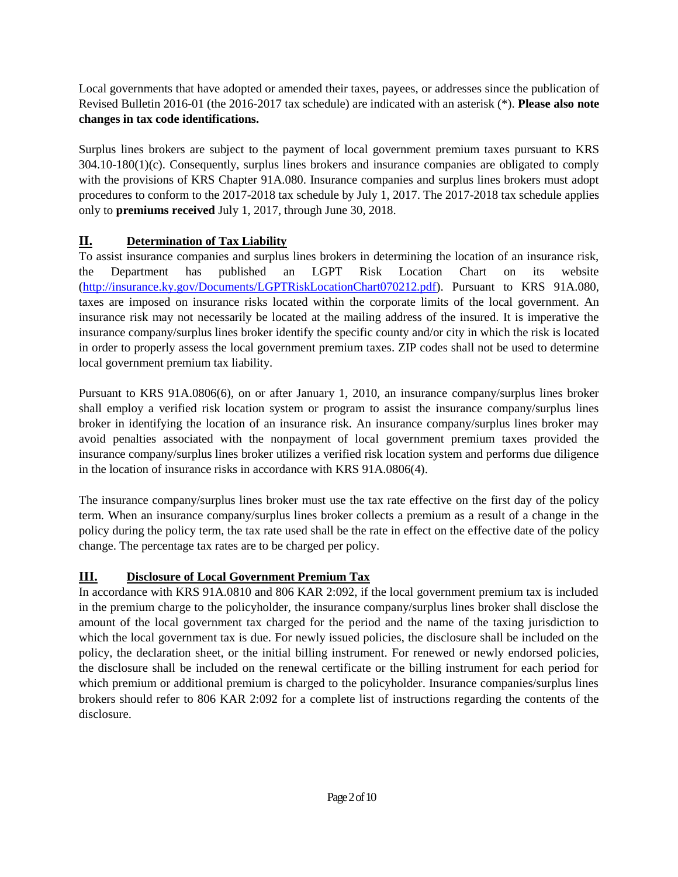Local governments that have adopted or amended their taxes, payees, or addresses since the publication of Revised Bulletin 2016-01 (the 2016-2017 tax schedule) are indicated with an asterisk (\*). **Please also note changes in tax code identifications.**

Surplus lines brokers are subject to the payment of local government premium taxes pursuant to KRS 304.10-180(1)(c). Consequently, surplus lines brokers and insurance companies are obligated to comply with the provisions of KRS Chapter 91A.080. Insurance companies and surplus lines brokers must adopt procedures to conform to the 2017-2018 tax schedule by July 1, 2017. The 2017-2018 tax schedule applies only to **premiums received** July 1, 2017, through June 30, 2018.

# **II. Determination of Tax Liability**

To assist insurance companies and surplus lines brokers in determining the location of an insurance risk, the Department has published an LGPT Risk Location Chart on its website [\(http://insurance.ky.gov/Documents/LGPTRiskLocationChart070212.pdf\)](http://insurance.ky.gov/Documents/LGPTRiskLocationChart070212.pdf). Pursuant to KRS 91A.080, taxes are imposed on insurance risks located within the corporate limits of the local government. An insurance risk may not necessarily be located at the mailing address of the insured. It is imperative the insurance company/surplus lines broker identify the specific county and/or city in which the risk is located in order to properly assess the local government premium taxes. ZIP codes shall not be used to determine local government premium tax liability.

Pursuant to KRS 91A.0806(6), on or after January 1, 2010, an insurance company/surplus lines broker shall employ a verified risk location system or program to assist the insurance company/surplus lines broker in identifying the location of an insurance risk. An insurance company/surplus lines broker may avoid penalties associated with the nonpayment of local government premium taxes provided the insurance company/surplus lines broker utilizes a verified risk location system and performs due diligence in the location of insurance risks in accordance with KRS 91A.0806(4).

The insurance company/surplus lines broker must use the tax rate effective on the first day of the policy term. When an insurance company/surplus lines broker collects a premium as a result of a change in the policy during the policy term, the tax rate used shall be the rate in effect on the effective date of the policy change. The percentage tax rates are to be charged per policy.

# **III. Disclosure of Local Government Premium Tax**

In accordance with KRS 91A.0810 and 806 KAR 2:092, if the local government premium tax is included in the premium charge to the policyholder, the insurance company/surplus lines broker shall disclose the amount of the local government tax charged for the period and the name of the taxing jurisdiction to which the local government tax is due. For newly issued policies, the disclosure shall be included on the policy, the declaration sheet, or the initial billing instrument. For renewed or newly endorsed policies, the disclosure shall be included on the renewal certificate or the billing instrument for each period for which premium or additional premium is charged to the policyholder. Insurance companies/surplus lines brokers should refer to 806 KAR 2:092 for a complete list of instructions regarding the contents of the disclosure.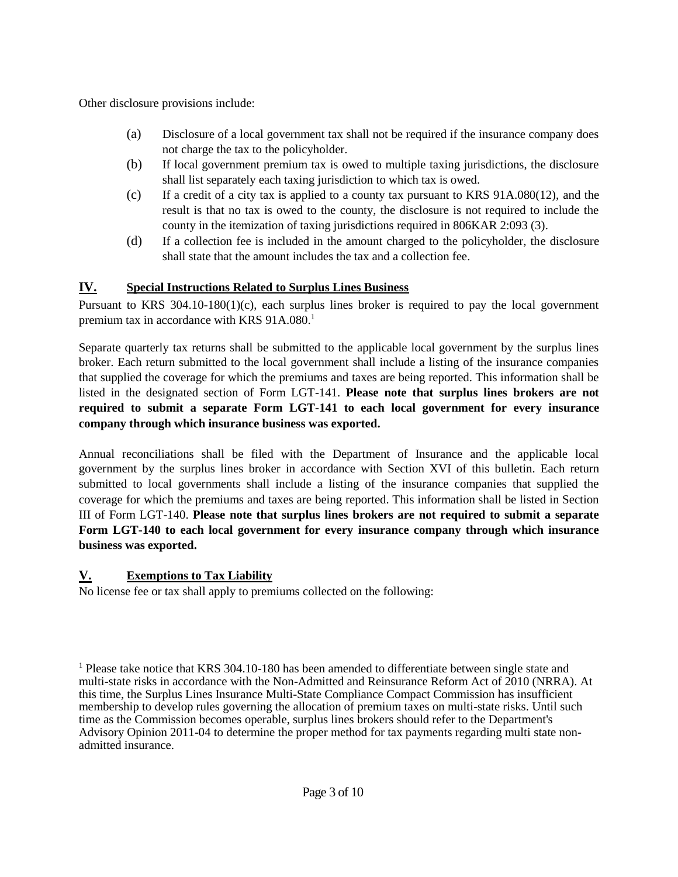Other disclosure provisions include:

- (a) Disclosure of a local government tax shall not be required if the insurance company does not charge the tax to the policyholder.
- (b) If local government premium tax is owed to multiple taxing jurisdictions, the disclosure shall list separately each taxing jurisdiction to which tax is owed.
- (c) If a credit of a city tax is applied to a county tax pursuant to KRS 91A.080(12), and the result is that no tax is owed to the county, the disclosure is not required to include the county in the itemization of taxing jurisdictions required in 806KAR 2:093 (3).
- (d) If a collection fee is included in the amount charged to the policyholder, the disclosure shall state that the amount includes the tax and a collection fee.

# **IV. Special Instructions Related to Surplus Lines Business**

Pursuant to KRS 304.10-180(1)(c), each surplus lines broker is required to pay the local government premium tax in accordance with KRS 91A.080.<sup>1</sup>

Separate quarterly tax returns shall be submitted to the applicable local government by the surplus lines broker. Each return submitted to the local government shall include a listing of the insurance companies that supplied the coverage for which the premiums and taxes are being reported. This information shall be listed in the designated section of Form LGT-141. **Please note that surplus lines brokers are not required to submit a separate Form LGT-141 to each local government for every insurance company through which insurance business was exported.**

Annual reconciliations shall be filed with the Department of Insurance and the applicable local government by the surplus lines broker in accordance with Section XVI of this bulletin. Each return submitted to local governments shall include a listing of the insurance companies that supplied the coverage for which the premiums and taxes are being reported. This information shall be listed in Section III of Form LGT-140. **Please note that surplus lines brokers are not required to submit a separate Form LGT-140 to each local government for every insurance company through which insurance business was exported.**

# **V. Exemptions to Tax Liability**

No license fee or tax shall apply to premiums collected on the following:

<sup>&</sup>lt;sup>1</sup> Please take notice that KRS 304.10-180 has been amended to differentiate between single state and multi-state risks in accordance with the Non-Admitted and Reinsurance Reform Act of 2010 (NRRA). At this time, the Surplus Lines Insurance Multi-State Compliance Compact Commission has insufficient membership to develop rules governing the allocation of premium taxes on multi-state risks. Until such time as the Commission becomes operable, surplus lines brokers should refer to the Department's Advisory Opinion 2011-04 to determine the proper method for tax payments regarding multi state nonadmitted insurance.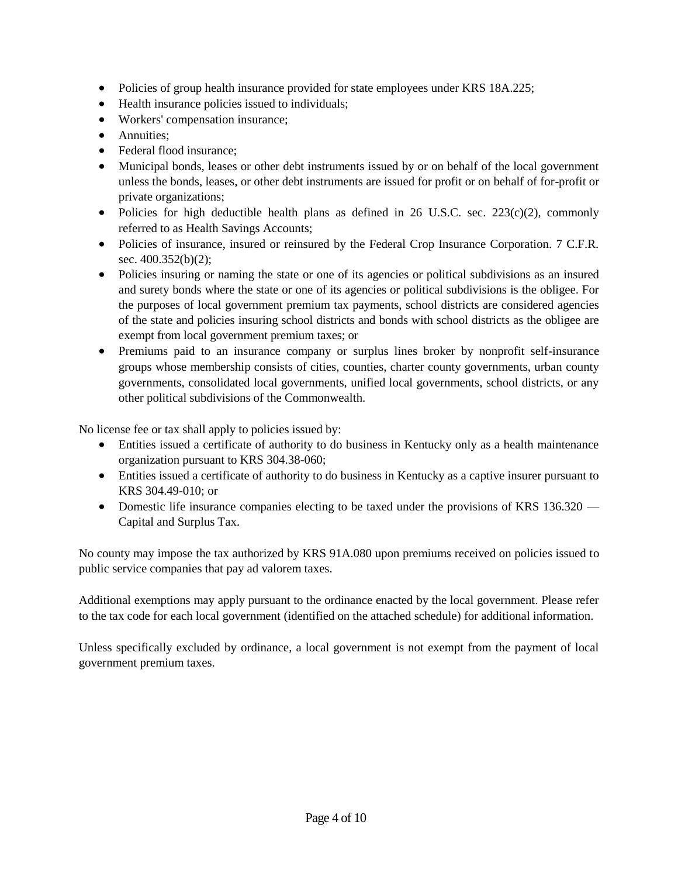- Policies of group health insurance provided for state employees under KRS 18A.225;
- Health insurance policies issued to individuals;
- Workers' compensation insurance;
- Annuities;
- Federal flood insurance:
- Municipal bonds, leases or other debt instruments issued by or on behalf of the local government unless the bonds, leases, or other debt instruments are issued for profit or on behalf of for-profit or private organizations;
- Policies for high deductible health plans as defined in 26 U.S.C. sec.  $223(c)(2)$ , commonly referred to as Health Savings Accounts;
- Policies of insurance, insured or reinsured by the Federal Crop Insurance Corporation. 7 C.F.R. sec. 400.352(b)(2);
- Policies insuring or naming the state or one of its agencies or political subdivisions as an insured and surety bonds where the state or one of its agencies or political subdivisions is the obligee. For the purposes of local government premium tax payments, school districts are considered agencies of the state and policies insuring school districts and bonds with school districts as the obligee are exempt from local government premium taxes; or
- Premiums paid to an insurance company or surplus lines broker by nonprofit self-insurance groups whose membership consists of cities, counties, charter county governments, urban county governments, consolidated local governments, unified local governments, school districts, or any other political subdivisions of the Commonwealth.

No license fee or tax shall apply to policies issued by:

- Entities issued a certificate of authority to do business in Kentucky only as a health maintenance organization pursuant to KRS 304.38-060;
- Entities issued a certificate of authority to do business in Kentucky as a captive insurer pursuant to KRS 304.49-010; or
- Domestic life insurance companies electing to be taxed under the provisions of KRS 136.320 Capital and Surplus Tax.

No county may impose the tax authorized by KRS 91A.080 upon premiums received on policies issued to public service companies that pay ad valorem taxes.

Additional exemptions may apply pursuant to the ordinance enacted by the local government. Please refer to the tax code for each local government (identified on the attached schedule) for additional information.

Unless specifically excluded by ordinance, a local government is not exempt from the payment of local government premium taxes.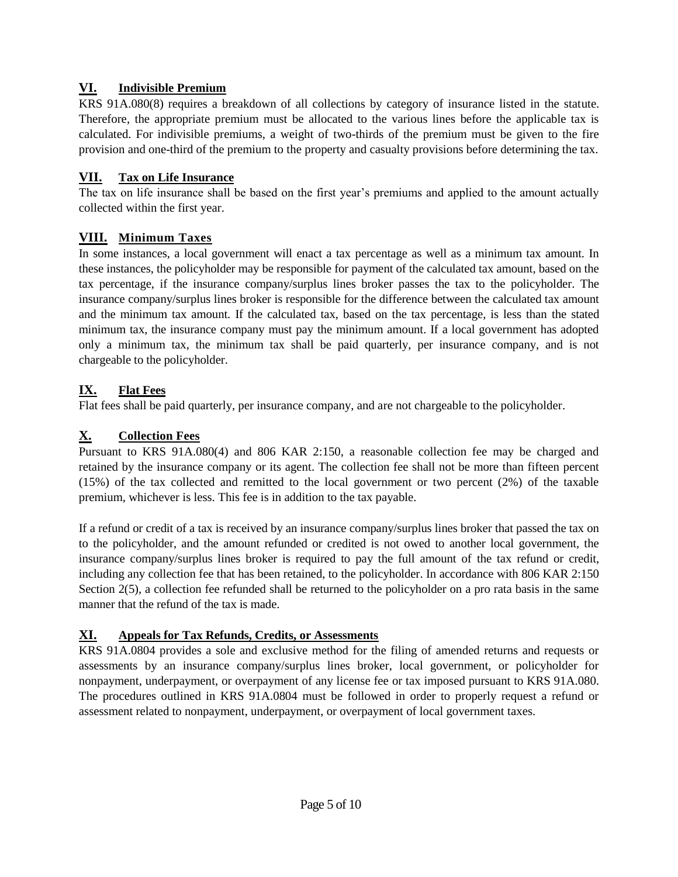### **VI. Indivisible Premium**

KRS 91A.080(8) requires a breakdown of all collections by category of insurance listed in the statute. Therefore, the appropriate premium must be allocated to the various lines before the applicable tax is calculated. For indivisible premiums, a weight of two-thirds of the premium must be given to the fire provision and one-third of the premium to the property and casualty provisions before determining the tax.

### **VII. Tax on Life Insurance**

The tax on life insurance shall be based on the first year's premiums and applied to the amount actually collected within the first year.

## **VIII. Minimum Taxes**

In some instances, a local government will enact a tax percentage as well as a minimum tax amount. In these instances, the policyholder may be responsible for payment of the calculated tax amount, based on the tax percentage, if the insurance company/surplus lines broker passes the tax to the policyholder. The insurance company/surplus lines broker is responsible for the difference between the calculated tax amount and the minimum tax amount. If the calculated tax, based on the tax percentage, is less than the stated minimum tax, the insurance company must pay the minimum amount. If a local government has adopted only a minimum tax, the minimum tax shall be paid quarterly, per insurance company, and is not chargeable to the policyholder.

# **IX. Flat Fees**

Flat fees shall be paid quarterly, per insurance company, and are not chargeable to the policyholder.

## **X. Collection Fees**

Pursuant to KRS 91A.080(4) and 806 KAR 2:150, a reasonable collection fee may be charged and retained by the insurance company or its agent. The collection fee shall not be more than fifteen percent (15%) of the tax collected and remitted to the local government or two percent (2%) of the taxable premium, whichever is less. This fee is in addition to the tax payable.

If a refund or credit of a tax is received by an insurance company/surplus lines broker that passed the tax on to the policyholder, and the amount refunded or credited is not owed to another local government, the insurance company/surplus lines broker is required to pay the full amount of the tax refund or credit, including any collection fee that has been retained, to the policyholder. In accordance with 806 KAR 2:150 Section 2(5), a collection fee refunded shall be returned to the policyholder on a pro rata basis in the same manner that the refund of the tax is made.

## **XI. Appeals for Tax Refunds, Credits, or Assessments**

KRS 91A.0804 provides a sole and exclusive method for the filing of amended returns and requests or assessments by an insurance company/surplus lines broker, local government, or policyholder for nonpayment, underpayment, or overpayment of any license fee or tax imposed pursuant to KRS 91A.080. The procedures outlined in KRS 91A.0804 must be followed in order to properly request a refund or assessment related to nonpayment, underpayment, or overpayment of local government taxes.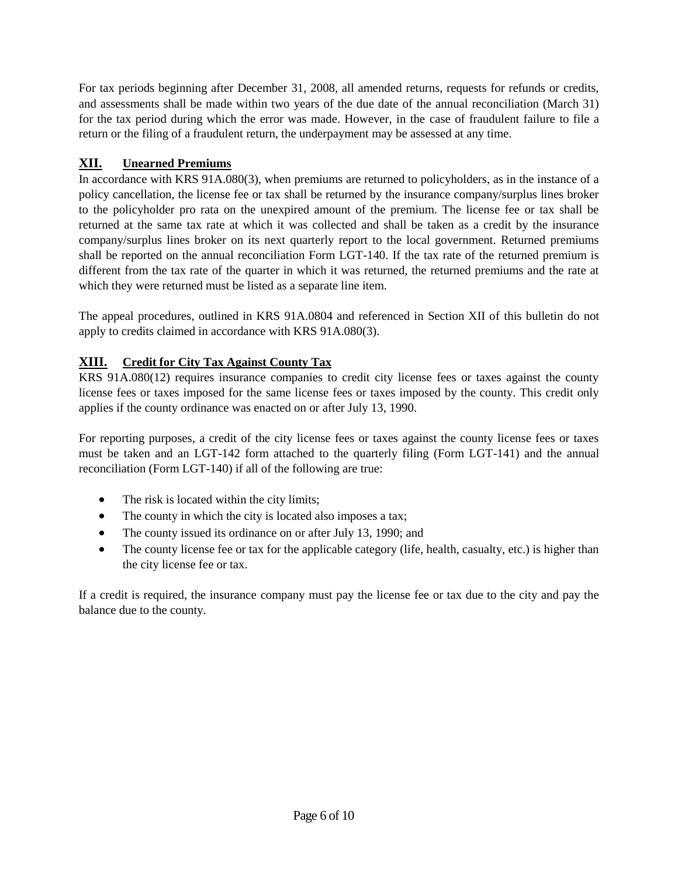For tax periods beginning after December 31, 2008, all amended returns, requests for refunds or credits, and assessments shall be made within two years of the due date of the annual reconciliation (March 31) for the tax period during which the error was made. However, in the case of fraudulent failure to file a return or the filing of a fraudulent return, the underpayment may be assessed at any time.

## **XII. Unearned Premiums**

In accordance with KRS 91A.080(3), when premiums are returned to policyholders, as in the instance of a policy cancellation, the license fee or tax shall be returned by the insurance company/surplus lines broker to the policyholder pro rata on the unexpired amount of the premium. The license fee or tax shall be returned at the same tax rate at which it was collected and shall be taken as a credit by the insurance company/surplus lines broker on its next quarterly report to the local government. Returned premiums shall be reported on the annual reconciliation Form LGT-140. If the tax rate of the returned premium is different from the tax rate of the quarter in which it was returned, the returned premiums and the rate at which they were returned must be listed as a separate line item.

The appeal procedures, outlined in KRS 91A.0804 and referenced in Section XII of this bulletin do not apply to credits claimed in accordance with KRS 91A.080(3).

### **XIII. Credit for City Tax Against County Tax**

KRS 91A.080(12) requires insurance companies to credit city license fees or taxes against the county license fees or taxes imposed for the same license fees or taxes imposed by the county. This credit only applies if the county ordinance was enacted on or after July 13, 1990.

For reporting purposes, a credit of the city license fees or taxes against the county license fees or taxes must be taken and an LGT-142 form attached to the quarterly filing (Form LGT-141) and the annual reconciliation (Form LGT-140) if all of the following are true:

- The risk is located within the city limits;
- The county in which the city is located also imposes a tax;
- The county issued its ordinance on or after July 13, 1990; and
- The county license fee or tax for the applicable category (life, health, casualty, etc.) is higher than the city license fee or tax.

If a credit is required, the insurance company must pay the license fee or tax due to the city and pay the balance due to the county.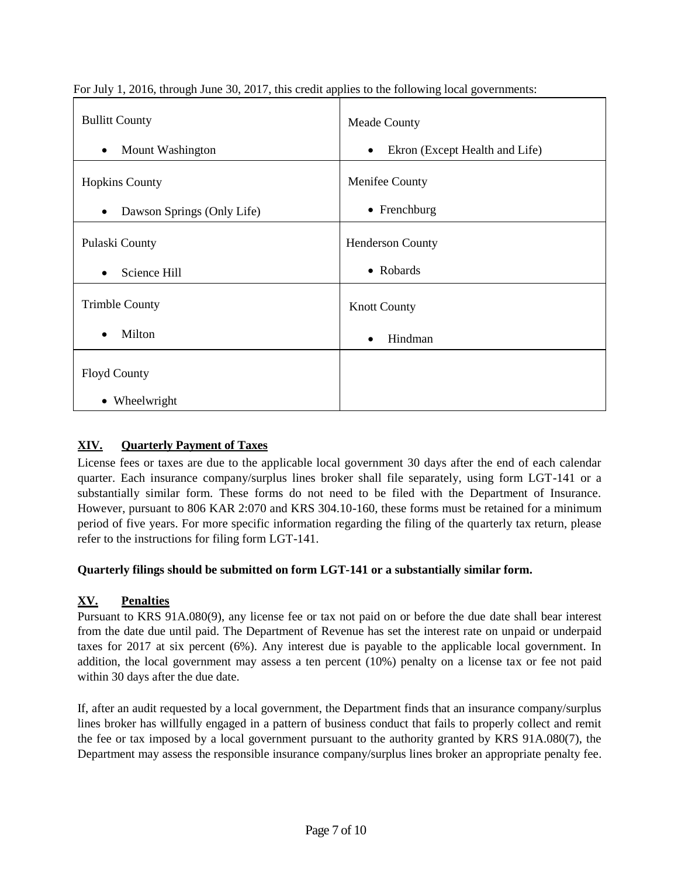| <b>Bullitt County</b>                   | <b>Meade County</b>                         |
|-----------------------------------------|---------------------------------------------|
| Mount Washington<br>$\bullet$           | Ekron (Except Health and Life)<br>$\bullet$ |
| <b>Hopkins County</b>                   | Menifee County                              |
| Dawson Springs (Only Life)<br>$\bullet$ | $\bullet$ Frenchburg                        |
| Pulaski County                          | <b>Henderson County</b>                     |
| Science Hill<br>$\bullet$               | • Robards                                   |
| <b>Trimble County</b>                   | <b>Knott County</b>                         |
| Milton<br>$\bullet$                     | Hindman<br>$\bullet$                        |
| <b>Floyd County</b>                     |                                             |
| • Wheelwright                           |                                             |

For July 1, 2016, through June 30, 2017, this credit applies to the following local governments:

## **XIV. Quarterly Payment of Taxes**

License fees or taxes are due to the applicable local government 30 days after the end of each calendar quarter. Each insurance company/surplus lines broker shall file separately, using form LGT-141 or a substantially similar form. These forms do not need to be filed with the Department of Insurance. However, pursuant to 806 KAR 2:070 and KRS 304.10-160, these forms must be retained for a minimum period of five years. For more specific information regarding the filing of the quarterly tax return, please refer to the instructions for filing form LGT-141.

### **Quarterly filings should be submitted on form LGT-141 or a substantially similar form.**

### **XV. Penalties**

Pursuant to KRS 91A.080(9), any license fee or tax not paid on or before the due date shall bear interest from the date due until paid. The Department of Revenue has set the interest rate on unpaid or underpaid taxes for 2017 at six percent (6%). Any interest due is payable to the applicable local government. In addition, the local government may assess a ten percent (10%) penalty on a license tax or fee not paid within 30 days after the due date.

If, after an audit requested by a local government, the Department finds that an insurance company/surplus lines broker has willfully engaged in a pattern of business conduct that fails to properly collect and remit the fee or tax imposed by a local government pursuant to the authority granted by KRS 91A.080(7), the Department may assess the responsible insurance company/surplus lines broker an appropriate penalty fee.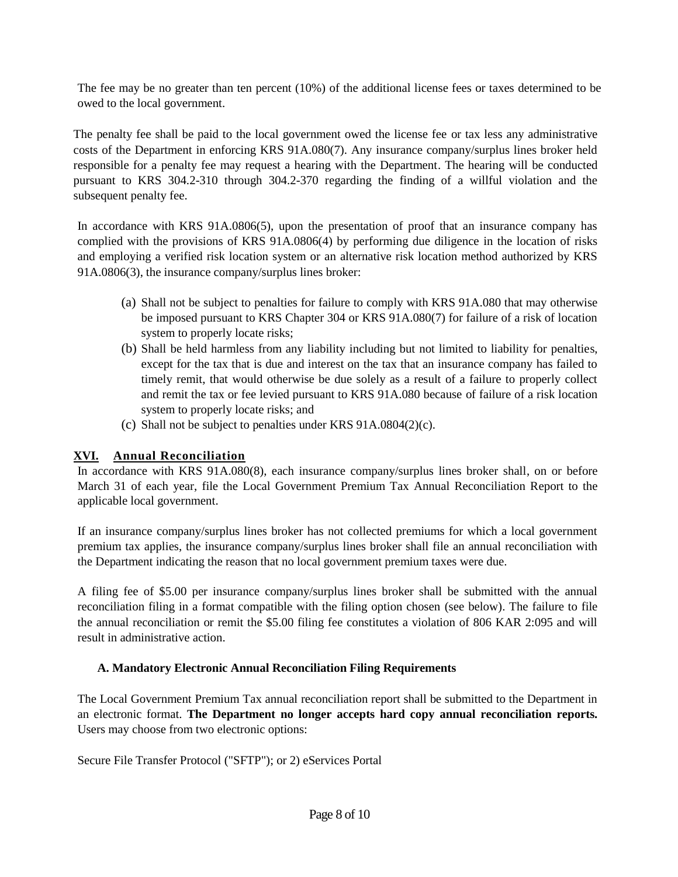The fee may be no greater than ten percent (10%) of the additional license fees or taxes determined to be owed to the local government.

The penalty fee shall be paid to the local government owed the license fee or tax less any administrative costs of the Department in enforcing KRS 91A.080(7). Any insurance company/surplus lines broker held responsible for a penalty fee may request a hearing with the Department. The hearing will be conducted pursuant to KRS 304.2-310 through 304.2-370 regarding the finding of a willful violation and the subsequent penalty fee.

In accordance with KRS 91A.0806(5), upon the presentation of proof that an insurance company has complied with the provisions of KRS 91A.0806(4) by performing due diligence in the location of risks and employing a verified risk location system or an alternative risk location method authorized by KRS 91A.0806(3), the insurance company/surplus lines broker:

- (a) Shall not be subject to penalties for failure to comply with KRS 91A.080 that may otherwise be imposed pursuant to KRS Chapter 304 or KRS 91A.080(7) for failure of a risk of location system to properly locate risks;
- (b) Shall be held harmless from any liability including but not limited to liability for penalties, except for the tax that is due and interest on the tax that an insurance company has failed to timely remit, that would otherwise be due solely as a result of a failure to properly collect and remit the tax or fee levied pursuant to KRS 91A.080 because of failure of a risk location system to properly locate risks; and
- (c) Shall not be subject to penalties under KRS 91A.0804(2)(c).

### **XVI. Annual Reconciliation**

In accordance with KRS 91A.080(8), each insurance company/surplus lines broker shall, on or before March 31 of each year, file the Local Government Premium Tax Annual Reconciliation Report to the applicable local government.

If an insurance company/surplus lines broker has not collected premiums for which a local government premium tax applies, the insurance company/surplus lines broker shall file an annual reconciliation with the Department indicating the reason that no local government premium taxes were due.

A filing fee of \$5.00 per insurance company/surplus lines broker shall be submitted with the annual reconciliation filing in a format compatible with the filing option chosen (see below). The failure to file the annual reconciliation or remit the \$5.00 filing fee constitutes a violation of 806 KAR 2:095 and will result in administrative action.

### **A. Mandatory Electronic Annual Reconciliation Filing Requirements**

The Local Government Premium Tax annual reconciliation report shall be submitted to the Department in an electronic format. **The Department no longer accepts hard copy annual reconciliation reports.**  Users may choose from two electronic options:

Secure File Transfer Protocol ("SFTP"); or 2) eServices Portal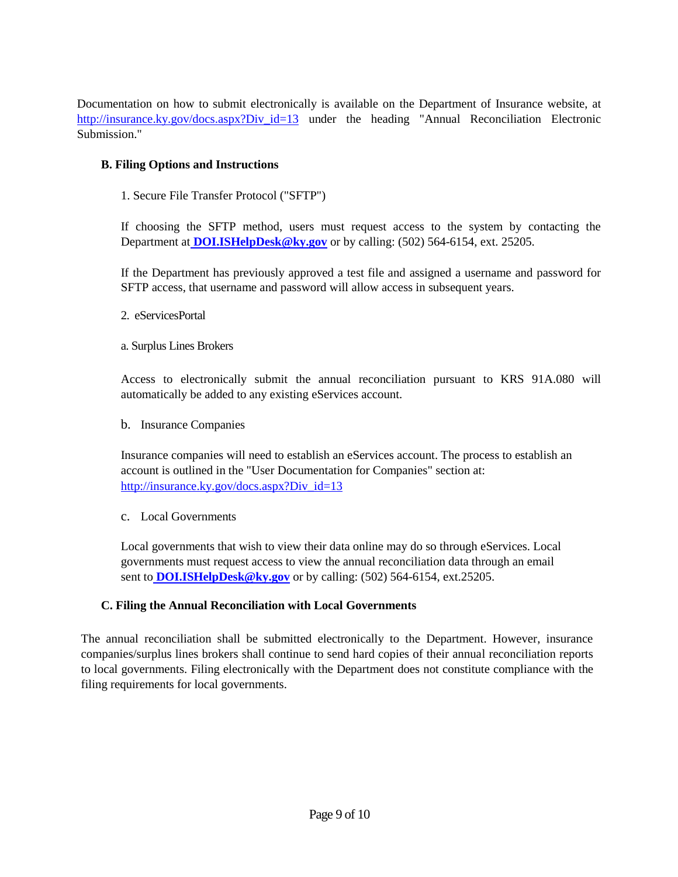Documentation on how to submit electronically is available on the Department of Insurance website, at http://insurance.ky.gov/docs.aspx?Div id=13 under the heading "Annual Reconciliation Electronic Submission."

#### **B. Filing Options and Instructions**

1. Secure File Transfer Protocol ("SFTP")

If choosing the SFTP method, users must request access to the system by contacting the Department at **[DOI.ISHelpDesk@ky.gov](mailto:DOI.ISHelpDesk@ky.gov)** or by calling: (502) 564-6154, ext. 25205.

If the Department has previously approved a test file and assigned a username and password for SFTP access, that username and password will allow access in subsequent years.

- 2. eServicesPortal
- a. Surplus Lines Brokers

Access to electronically submit the annual reconciliation pursuant to KRS 91A.080 will automatically be added to any existing eServices account.

b. Insurance Companies

Insurance companies will need to establish an eServices account. The process to establish an account is outlined in the "User Documentation for Companies" section at: [http://insurance.ky.gov/docs.aspx?Div\\_id=13](http://insurance.ky.gov/docs.aspx?Div_id=13)

c. Local Governments

Local governments that wish to view their data online may do so through eServices. Local governments must request access to view the annual reconciliation data through an email sent to **[DOI.ISHelpDesk@ky.gov](mailto:DOI.ISHelpDesk@ky.gov)** or by calling: (502) 564-6154, ext.25205.

#### **C. Filing the Annual Reconciliation with Local Governments**

The annual reconciliation shall be submitted electronically to the Department. However, insurance companies/surplus lines brokers shall continue to send hard copies of their annual reconciliation reports to local governments. Filing electronically with the Department does not constitute compliance with the filing requirements for local governments.